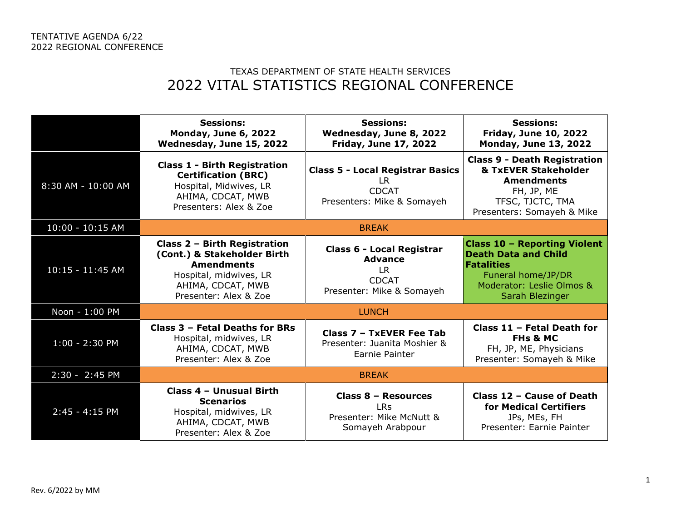## TEXAS DEPARTMENT OF STATE HEALTH SERVICES 2022 VITAL STATISTICS REGIONAL CONFERENCE

|                    | <b>Sessions:</b><br><b>Monday, June 6, 2022</b><br>Wednesday, June 15, 2022                                                                              | <b>Sessions:</b><br>Wednesday, June 8, 2022<br><b>Friday, June 17, 2022</b>                            | <b>Sessions:</b><br><b>Friday, June 10, 2022</b><br><b>Monday, June 13, 2022</b>                                                                              |
|--------------------|----------------------------------------------------------------------------------------------------------------------------------------------------------|--------------------------------------------------------------------------------------------------------|---------------------------------------------------------------------------------------------------------------------------------------------------------------|
| 8:30 AM - 10:00 AM | <b>Class 1 - Birth Registration</b><br><b>Certification (BRC)</b><br>Hospital, Midwives, LR<br>AHIMA, CDCAT, MWB<br>Presenters: Alex & Zoe               | <b>Class 5 - Local Registrar Basics</b><br>LR.<br><b>CDCAT</b><br>Presenters: Mike & Somayeh           | <b>Class 9 - Death Registration</b><br><b>&amp; TxEVER Stakeholder</b><br><b>Amendments</b><br>FH, JP, ME<br>TFSC, TJCTC, TMA<br>Presenters: Somayeh & Mike   |
| $10:00 - 10:15$ AM | <b>BREAK</b>                                                                                                                                             |                                                                                                        |                                                                                                                                                               |
| $10:15 - 11:45$ AM | Class 2 - Birth Registration<br>(Cont.) & Stakeholder Birth<br><b>Amendments</b><br>Hospital, midwives, LR<br>AHIMA, CDCAT, MWB<br>Presenter: Alex & Zoe | <b>Class 6 - Local Registrar</b><br><b>Advance</b><br>LR.<br><b>CDCAT</b><br>Presenter: Mike & Somayeh | <b>Class 10 - Reporting Violent</b><br><b>Death Data and Child</b><br><b>Fatalities</b><br>Funeral home/JP/DR<br>Moderator: Leslie Olmos &<br>Sarah Blezinger |
| Noon - 1:00 PM     | <b>LUNCH</b>                                                                                                                                             |                                                                                                        |                                                                                                                                                               |
| $1:00 - 2:30$ PM   | Class 3 - Fetal Deaths for BRs<br>Hospital, midwives, LR<br>AHIMA, CDCAT, MWB<br>Presenter: Alex & Zoe                                                   | Class 7 - TxEVER Fee Tab<br>Presenter: Juanita Moshier &<br>Earnie Painter                             | Class 11 - Fetal Death for<br><b>FHs &amp; MC</b><br>FH, JP, ME, Physicians<br>Presenter: Somayeh & Mike                                                      |
| 2:30 - 2:45 PM     | <b>BREAK</b>                                                                                                                                             |                                                                                                        |                                                                                                                                                               |
| $2:45 - 4:15$ PM   | Class 4 - Unusual Birth<br><b>Scenarios</b><br>Hospital, midwives, LR<br>AHIMA, CDCAT, MWB<br>Presenter: Alex & Zoe                                      | Class 8 - Resources<br><b>LRs</b><br>Presenter: Mike McNutt &<br>Somayeh Arabpour                      | Class 12 - Cause of Death<br>for Medical Certifiers<br>JPs, MEs, FH<br>Presenter: Earnie Painter                                                              |